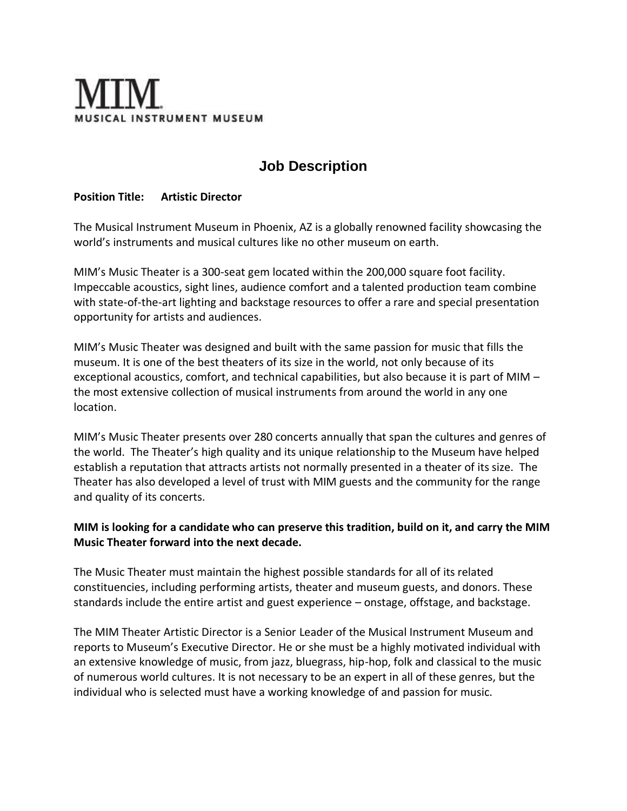# SICAL INSTRUMENT MUSEUM

## **Job Description**

#### **Position Title: Artistic Director**

The Musical Instrument Museum in Phoenix, AZ is a globally renowned facility showcasing the world's instruments and musical cultures like no other museum on earth.

MIM's Music Theater is a 300-seat gem located within the 200,000 square foot facility. Impeccable acoustics, sight lines, audience comfort and a talented production team combine with state-of-the-art lighting and backstage resources to offer a rare and special presentation opportunity for artists and audiences.

MIM's Music Theater was designed and built with the same passion for music that fills the museum. It is one of the best theaters of its size in the world, not only because of its exceptional acoustics, comfort, and technical capabilities, but also because it is part of MIM – the most extensive collection of musical instruments from around the world in any one location.

MIM's Music Theater presents over 280 concerts annually that span the cultures and genres of the world. The Theater's high quality and its unique relationship to the Museum have helped establish a reputation that attracts artists not normally presented in a theater of its size. The Theater has also developed a level of trust with MIM guests and the community for the range and quality of its concerts.

#### **MIM is looking for a candidate who can preserve this tradition, build on it, and carry the MIM Music Theater forward into the next decade.**

The Music Theater must maintain the highest possible standards for all of its related constituencies, including performing artists, theater and museum guests, and donors. These standards include the entire artist and guest experience – onstage, offstage, and backstage.

The MIM Theater Artistic Director is a Senior Leader of the Musical Instrument Museum and reports to Museum's Executive Director. He or she must be a highly motivated individual with an extensive knowledge of music, from jazz, bluegrass, hip-hop, folk and classical to the music of numerous world cultures. It is not necessary to be an expert in all of these genres, but the individual who is selected must have a working knowledge of and passion for music.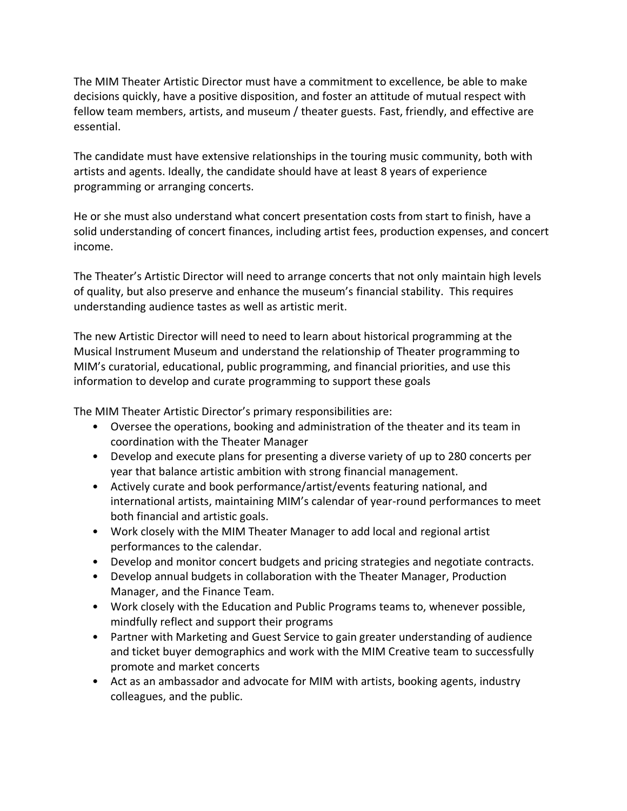The MIM Theater Artistic Director must have a commitment to excellence, be able to make decisions quickly, have a positive disposition, and foster an attitude of mutual respect with fellow team members, artists, and museum / theater guests. Fast, friendly, and effective are essential.

The candidate must have extensive relationships in the touring music community, both with artists and agents. Ideally, the candidate should have at least 8 years of experience programming or arranging concerts.

He or she must also understand what concert presentation costs from start to finish, have a solid understanding of concert finances, including artist fees, production expenses, and concert income.

The Theater's Artistic Director will need to arrange concerts that not only maintain high levels of quality, but also preserve and enhance the museum's financial stability. This requires understanding audience tastes as well as artistic merit.

The new Artistic Director will need to need to learn about historical programming at the Musical Instrument Museum and understand the relationship of Theater programming to MIM's curatorial, educational, public programming, and financial priorities, and use this information to develop and curate programming to support these goals

The MIM Theater Artistic Director's primary responsibilities are:

- Oversee the operations, booking and administration of the theater and its team in coordination with the Theater Manager
- Develop and execute plans for presenting a diverse variety of up to 280 concerts per year that balance artistic ambition with strong financial management.
- Actively curate and book performance/artist/events featuring national, and international artists, maintaining MIM's calendar of year-round performances to meet both financial and artistic goals.
- Work closely with the MIM Theater Manager to add local and regional artist performances to the calendar.
- Develop and monitor concert budgets and pricing strategies and negotiate contracts.
- Develop annual budgets in collaboration with the Theater Manager, Production Manager, and the Finance Team.
- Work closely with the Education and Public Programs teams to, whenever possible, mindfully reflect and support their programs
- Partner with Marketing and Guest Service to gain greater understanding of audience and ticket buyer demographics and work with the MIM Creative team to successfully promote and market concerts
- Act as an ambassador and advocate for MIM with artists, booking agents, industry colleagues, and the public.